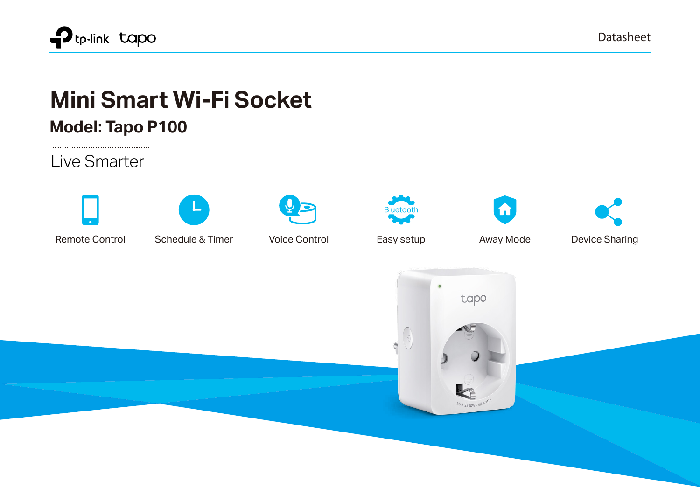

Datasheet

# **Mini Smart Wi-Fi Socket**

**Model: Tapo P100**

Live Smarter













Remote Control Schedule & Timer Voice Control Easy setup Away Mode Device Sharing

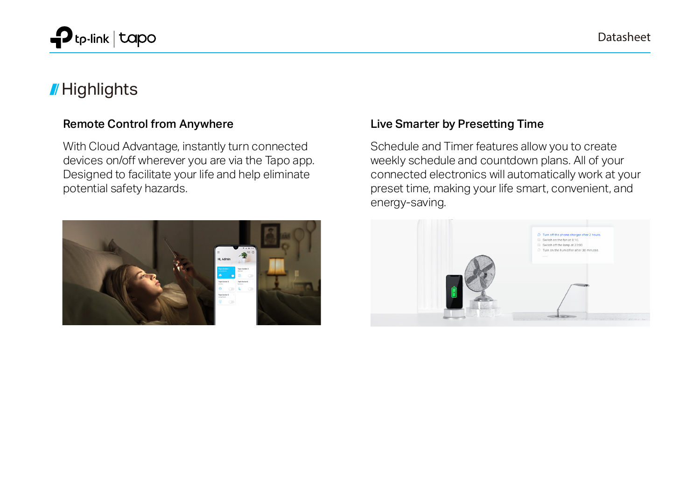

# **// Highlights**

#### Remote Control from Anywhere

With Cloud Advantage, instantly turn connected devices on/off wherever you are via the Tapo app. Designed to facilitate your life and help eliminate potential safety hazards.



#### Live Smarter by Presetting Time

Schedule and Timer features allow you to create weekly schedule and countdown plans. All of your connected electronics will automatically work at your preset time, making your life smart, convenient, and energy-saving.

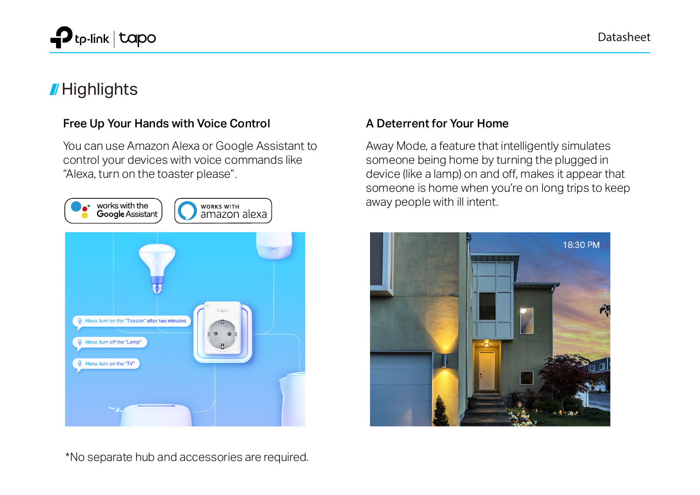

# **// Highlights**

#### Free Up Your Hands with Voice Control

You can use Amazon Alexa or Google Assistant to control your devices with voice commands like "Alexa, turn on the toaster please".



#### \*No separate hub and accessories are required.

#### A Deterrent for Your Home

Away Mode, a feature that intelligently simulates someone being home by turning the plugged in device (like a lamp) on and off, makes it appear that someone is home when you're on long trips to keep away people with ill intent.

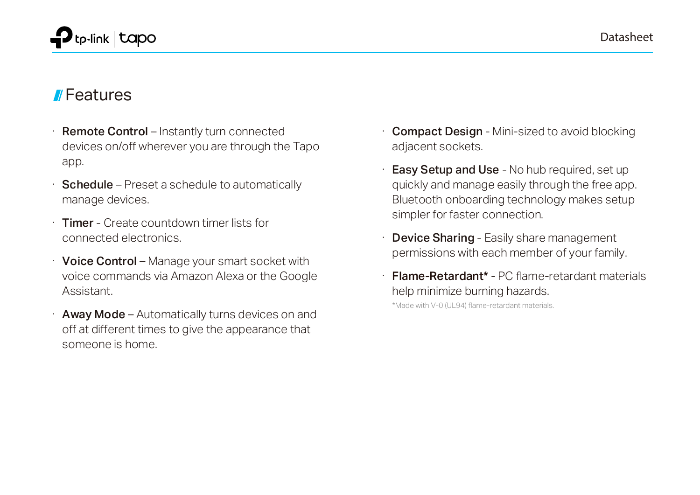## Features

- **Remote Control** Instantly turn connected devices on/off wherever you are through the Tapo app.
- **Schedule** Preset a schedule to automatically manage devices.
- **Timer** Create countdown timer lists for connected electronics.
- · Voice Control Manage your smart socket with voice commands via Amazon Alexa or the Google **Assistant**
- Away Mode Automatically turns devices on and off at different times to give the appearance that someone is home.
- **Compact Design Mini-sized to avoid blocking** adjacent sockets.
- **Easy Setup and Use No hub required, set up** quickly and manage easily through the free app. Bluetooth onboarding technology makes setup simpler for faster connection.
- **Device Sharing Easily share management** permissions with each member of your family.
- · Flame-Retardant\* PC flame-retardant materials help minimize burning hazards.

\*Made with V-0 (UL94) flame-retardant materials.